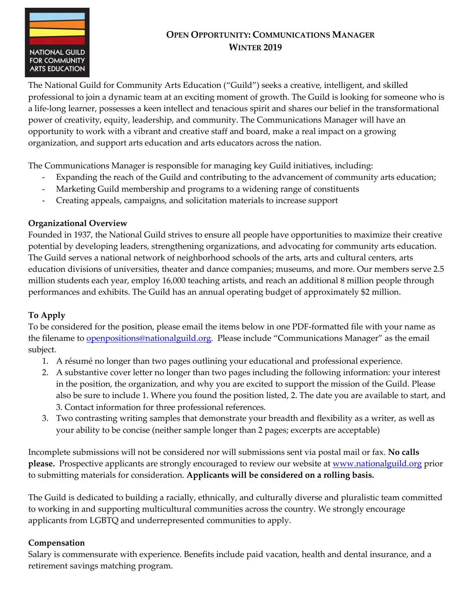

# **OPEN OPPORTUNITY: COMMUNICATIONS MANAGER WINTER 2019**

The National Guild for Community Arts Education ("Guild") seeks a creative, intelligent, and skilled professional to join a dynamic team at an exciting moment of growth. The Guild is looking for someone who is a life-long learner, possesses a keen intellect and tenacious spirit and shares our belief in the transformational power of creativity, equity, leadership, and community. The Communications Manager will have an opportunity to work with a vibrant and creative staff and board, make a real impact on a growing organization, and support arts education and arts educators across the nation.

The Communications Manager is responsible for managing key Guild initiatives, including:

- Expanding the reach of the Guild and contributing to the advancement of community arts education;
- Marketing Guild membership and programs to a widening range of constituents
- Creating appeals, campaigns, and solicitation materials to increase support

### **Organizational Overview**

Founded in 1937, the National Guild strives to ensure all people have opportunities to maximize their creative potential by developing leaders, strengthening organizations, and advocating for community arts education. The Guild serves a national network of neighborhood schools of the arts, arts and cultural centers, arts education divisions of universities, theater and dance companies; museums, and more. Our members serve 2.5 million students each year, employ 16,000 teaching artists, and reach an additional 8 million people through performances and exhibits. The Guild has an annual operating budget of approximately \$2 million.

# **To Apply**

To be considered for the position, please email the items below in one PDF-formatted file with your name as the filename to <u>openpositions@nationalguild.org</u>. Please include "Communications Manager" as the email subject.

- 1. A résumé no longer than two pages outlining your educational and professional experience.
- 2. A substantive cover letter no longer than two pages including the following information: your interest in the position, the organization, and why you are excited to support the mission of the Guild. Please also be sure to include 1. Where you found the position listed, 2. The date you are available to start, and 3. Contact information for three professional references.
- 3. Two contrasting writing samples that demonstrate your breadth and flexibility as a writer, as well as your ability to be concise (neither sample longer than 2 pages; excerpts are acceptable)

Incomplete submissions will not be considered nor will submissions sent via postal mail or fax. **No calls please.** Prospective applicants are strongly encouraged to review our website at www.nationalguild.org prior to submitting materials for consideration. **Applicants will be considered on a rolling basis.**

The Guild is dedicated to building a racially, ethnically, and culturally diverse and pluralistic team committed to working in and supporting multicultural communities across the country. We strongly encourage applicants from LGBTQ and underrepresented communities to apply.

# **Compensation**

Salary is commensurate with experience. Benefits include paid vacation, health and dental insurance, and a retirement savings matching program.